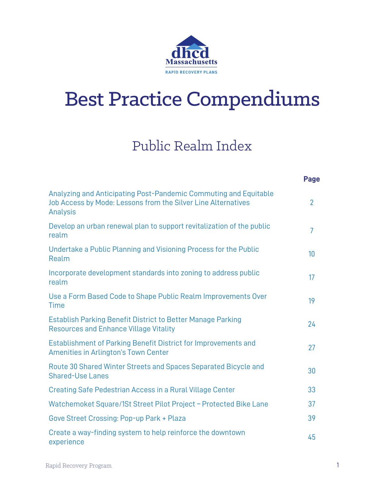

### Public Realm Index

|                                                                                                                                               | Page           |
|-----------------------------------------------------------------------------------------------------------------------------------------------|----------------|
| Analyzing and Anticipating Post-Pandemic Commuting and Equitable<br>Job Access by Mode: Lessons from the Silver Line Alternatives<br>Analysis | $\overline{2}$ |
| Develop an urban renewal plan to support revitalization of the public<br>realm                                                                | 7              |
| Undertake a Public Planning and Visioning Process for the Public<br>Realm                                                                     | 10             |
| Incorporate development standards into zoning to address public<br>realm                                                                      | 17             |
| Use a Form Based Code to Shape Public Realm Improvements Over<br><b>Time</b>                                                                  | 19             |
| <b>Establish Parking Benefit District to Better Manage Parking</b><br><b>Resources and Enhance Village Vitality</b>                           | 24             |
| Establishment of Parking Benefit District for Improvements and<br>Amenities in Arlington's Town Center                                        | 27             |
| Route 30 Shared Winter Streets and Spaces Separated Bicycle and<br><b>Shared-Use Lanes</b>                                                    | 30             |
| Creating Safe Pedestrian Access in a Rural Village Center                                                                                     | 33             |
| Watchemoket Square/1St Street Pilot Project - Protected Bike Lane                                                                             | 37             |
| Gove Street Crossing: Pop-up Park + Plaza                                                                                                     | 39             |
| Create a way-finding system to help reinforce the downtown<br>experience                                                                      | 45             |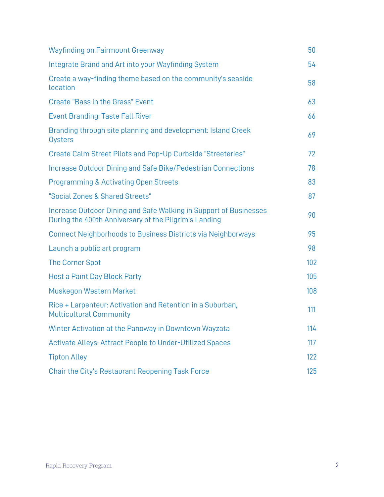| <b>Wayfinding on Fairmount Greenway</b>                                                                                    | 50  |
|----------------------------------------------------------------------------------------------------------------------------|-----|
| Integrate Brand and Art into your Wayfinding System                                                                        | 54  |
| Create a way-finding theme based on the community's seaside<br>location                                                    | 58  |
| <b>Create "Bass in the Grass" Event</b>                                                                                    | 63  |
| <b>Event Branding: Taste Fall River</b>                                                                                    | 66  |
| Branding through site planning and development: Island Creek<br>Oysters                                                    | 69  |
| Create Calm Street Pilots and Pop-Up Curbside "Streeteries"                                                                | 72  |
| Increase Outdoor Dining and Safe Bike/Pedestrian Connections                                                               | 78  |
| Programming & Activating Open Streets                                                                                      | 83  |
| "Social Zones & Shared Streets"                                                                                            | 87  |
| Increase Outdoor Dining and Safe Walking in Support of Businesses<br>During the 400th Anniversary of the Pilgrim's Landing | 90  |
| Connect Neighborhoods to Business Districts via Neighborways                                                               | 95  |
| Launch a public art program                                                                                                | 98  |
| <b>The Corner Spot</b>                                                                                                     | 102 |
| <b>Host a Paint Day Block Party</b>                                                                                        | 105 |
| Muskegon Western Market                                                                                                    | 108 |
| Rice + Larpenteur: Activation and Retention in a Suburban,<br><b>Multicultural Community</b>                               | 111 |
| Winter Activation at the Panoway in Downtown Wayzata                                                                       | 114 |
| Activate Alleys: Attract People to Under-Utilized Spaces                                                                   | 117 |
| <b>Tipton Alley</b>                                                                                                        | 122 |
| <b>Chair the City's Restaurant Reopening Task Force</b>                                                                    | 125 |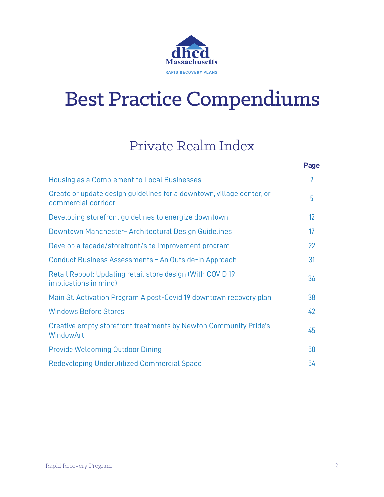

#### Private Realm Index

|                                                                                              | <b>Page</b>    |
|----------------------------------------------------------------------------------------------|----------------|
| Housing as a Complement to Local Businesses                                                  | $\overline{2}$ |
| Create or update design guidelines for a downtown, village center, or<br>commercial corridor | 5              |
| Developing storefront guidelines to energize downtown                                        | 12             |
| Downtown Manchester-Architectural Design Guidelines                                          | 17             |
| Develop a façade/storefront/site improvement program                                         | 22             |
| Conduct Business Assessments - An Outside-In Approach                                        | 31             |
| Retail Reboot: Updating retail store design (With COVID 19)<br>implications in mind)         | 36             |
| Main St. Activation Program A post-Covid 19 downtown recovery plan                           | 38             |
| <b>Windows Before Stores</b>                                                                 | 42             |
| Creative empty storefront treatments by Newton Community Pride's<br>WindowArt                | 45             |
| <b>Provide Welcoming Outdoor Dining</b>                                                      | 50             |
| Redeveloping Underutilized Commercial Space                                                  | 54             |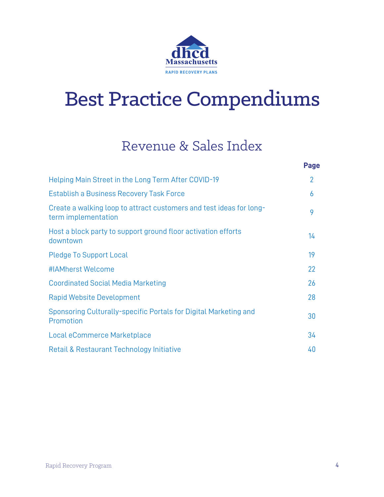

#### Revenue & Sales Index

|                                                                                            | <b>Page</b>    |
|--------------------------------------------------------------------------------------------|----------------|
| Helping Main Street in the Long Term After COVID-19                                        | $\overline{2}$ |
| <b>Establish a Business Recovery Task Force</b>                                            | 6              |
| Create a walking loop to attract customers and test ideas for long-<br>term implementation | 9              |
| Host a block party to support ground floor activation efforts<br>downtown                  | 14             |
| <b>Pledge To Support Local</b>                                                             | 19             |
| #IAMherst Welcome                                                                          | 22             |
| <b>Coordinated Social Media Marketing</b>                                                  | 26             |
| <b>Rapid Website Development</b>                                                           | 28             |
| Sponsoring Culturally-specific Portals for Digital Marketing and<br>Promotion              | 30             |
| Local eCommerce Marketplace                                                                | 34             |
| Retail & Restaurant Technology Initiative                                                  | 40             |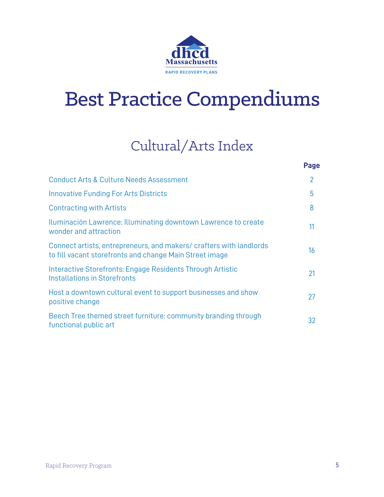

### Cultural/Arts Index

|                                                                                                                               | <b>Page</b>    |
|-------------------------------------------------------------------------------------------------------------------------------|----------------|
| <b>Conduct Arts &amp; Culture Needs Assessment</b>                                                                            | $\overline{2}$ |
| <b>Innovative Funding For Arts Districts</b>                                                                                  | 5              |
| <b>Contracting with Artists</b>                                                                                               | 8              |
| Iluminación Lawrence: Illuminating downtown Lawrence to create<br>wonder and attraction                                       | 11             |
| Connect artists, entrepreneurs, and makers/crafters with landlords<br>to fill vacant storefronts and change Main Street image | 16             |
| Interactive Storefronts: Engage Residents Through Artistic<br>Installations in Storefronts                                    | 21             |
| Host a downtown cultural event to support businesses and show<br>positive change                                              | 27             |
| Beech Tree themed street furniture: community branding through<br>functional public art                                       | 32             |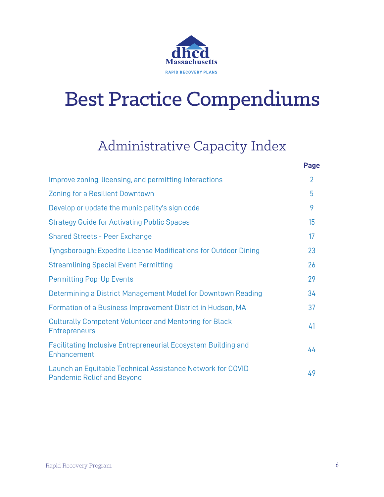

#### Administrative Capacity Index

|                                                                                                 | ı uyu          |
|-------------------------------------------------------------------------------------------------|----------------|
| Improve zoning, licensing, and permitting interactions                                          | $\overline{2}$ |
| Zoning for a Resilient Downtown                                                                 | 5              |
| Develop or update the municipality's sign code                                                  | 9              |
| <b>Strategy Guide for Activating Public Spaces</b>                                              | 15             |
| <b>Shared Streets - Peer Exchange</b>                                                           | 17             |
| Tyngsborough: Expedite License Modifications for Outdoor Dining                                 | 23             |
| <b>Streamlining Special Event Permitting</b>                                                    | 26             |
| <b>Permitting Pop-Up Events</b>                                                                 | 29             |
| Determining a District Management Model for Downtown Reading                                    | 34             |
| Formation of a Business Improvement District in Hudson, MA                                      | 37             |
| <b>Culturally Competent Volunteer and Mentoring for Black</b><br><b>Entrepreneurs</b>           | 41             |
| Facilitating Inclusive Entrepreneurial Ecosystem Building and<br>Enhancement                    | 44             |
| Launch an Equitable Technical Assistance Network for COVID<br><b>Pandemic Relief and Beyond</b> | 49             |

**Page**